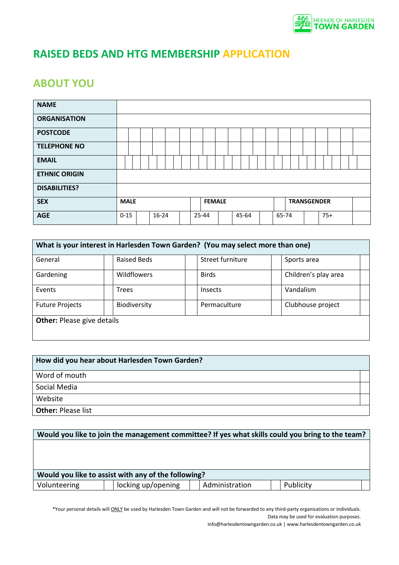

# **RAISED BEDS AND HTG MEMBERSHIP APPLICATION**

### **ABOUT YOU**

| <b>NAME</b>          |             |  |           |  |  |               |  |       |  |       |  |                    |       |  |  |
|----------------------|-------------|--|-----------|--|--|---------------|--|-------|--|-------|--|--------------------|-------|--|--|
| <b>ORGANISATION</b>  |             |  |           |  |  |               |  |       |  |       |  |                    |       |  |  |
| <b>POSTCODE</b>      |             |  |           |  |  |               |  |       |  |       |  |                    |       |  |  |
| <b>TELEPHONE NO</b>  |             |  |           |  |  |               |  |       |  |       |  |                    |       |  |  |
| <b>EMAIL</b>         |             |  |           |  |  |               |  |       |  |       |  |                    |       |  |  |
| <b>ETHNIC ORIGIN</b> |             |  |           |  |  |               |  |       |  |       |  |                    |       |  |  |
| <b>DISABILITIES?</b> |             |  |           |  |  |               |  |       |  |       |  |                    |       |  |  |
| <b>SEX</b>           | <b>MALE</b> |  |           |  |  | <b>FEMALE</b> |  |       |  |       |  | <b>TRANSGENDER</b> |       |  |  |
| <b>AGE</b>           | $0 - 15$    |  | $16 - 24$ |  |  | 25-44         |  | 45-64 |  | 65-74 |  |                    | $75+$ |  |  |

| What is your interest in Harlesden Town Garden? (You may select more than one) |                    |                  |                      |  |  |  |  |  |  |
|--------------------------------------------------------------------------------|--------------------|------------------|----------------------|--|--|--|--|--|--|
| General                                                                        | Raised Beds        | Street furniture | Sports area          |  |  |  |  |  |  |
| Gardening                                                                      | <b>Wildflowers</b> | <b>Birds</b>     | Children's play area |  |  |  |  |  |  |
| Events                                                                         | <b>Trees</b>       | <b>Insects</b>   | Vandalism            |  |  |  |  |  |  |
| <b>Future Projects</b>                                                         | Biodiversity       | Permaculture     | Clubhouse project    |  |  |  |  |  |  |
| <b>Other: Please give details</b>                                              |                    |                  |                      |  |  |  |  |  |  |

| How did you hear about Harlesden Town Garden? |  |  |  |  |  |  |
|-----------------------------------------------|--|--|--|--|--|--|
| Word of mouth                                 |  |  |  |  |  |  |
| Social Media                                  |  |  |  |  |  |  |
| Website                                       |  |  |  |  |  |  |
| <b>Other: Please list</b>                     |  |  |  |  |  |  |

|              | Would you like to join the management committee? If yes what skills could you bring to the team? |                |           |  |
|--------------|--------------------------------------------------------------------------------------------------|----------------|-----------|--|
|              |                                                                                                  |                |           |  |
|              |                                                                                                  |                |           |  |
|              |                                                                                                  |                |           |  |
|              | Would you like to assist with any of the following?                                              |                |           |  |
| Volunteering | locking up/opening                                                                               | Administration | Publicity |  |

\*Your personal details will *ONLY* be used by Harlesden Town Garden and will not be forwarded to any third-party organisations or individuals. Data may be used for evaluation purposes.

info@harlesdentowngarden.co.uk | www.harlesdentowngarden.co.uk